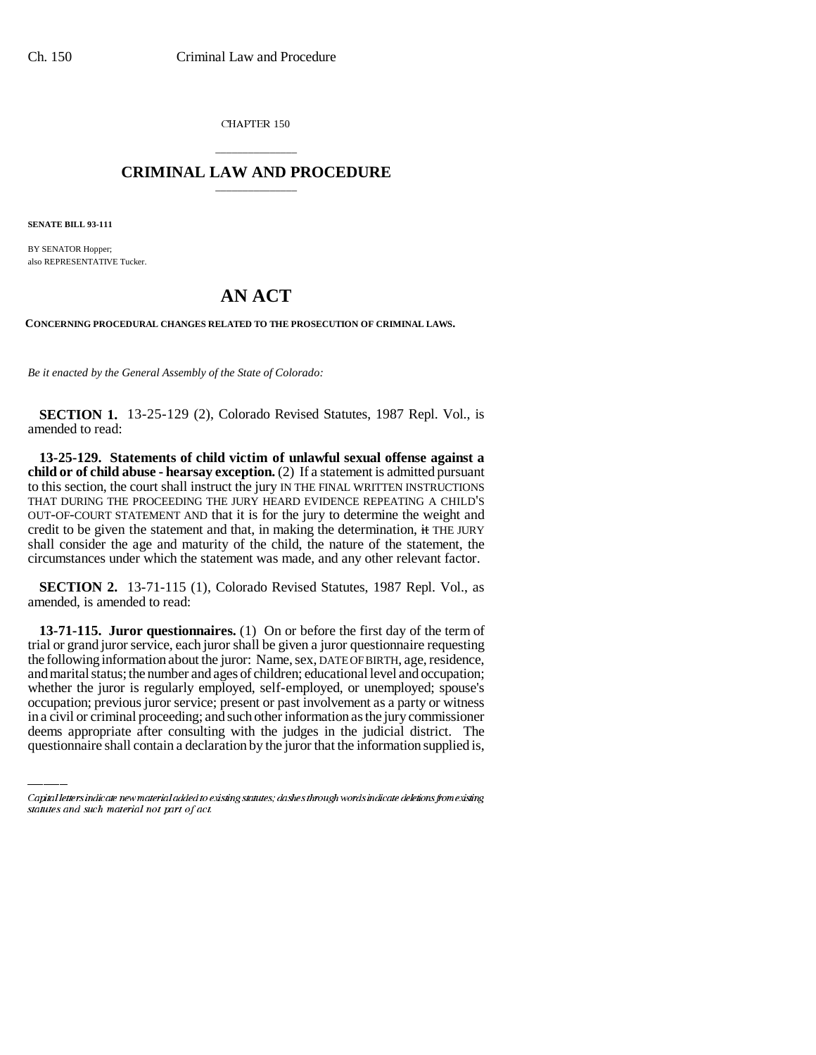CHAPTER 150

## \_\_\_\_\_\_\_\_\_\_\_\_\_\_\_ **CRIMINAL LAW AND PROCEDURE** \_\_\_\_\_\_\_\_\_\_\_\_\_\_\_

**SENATE BILL 93-111**

BY SENATOR Hopper; also REPRESENTATIVE Tucker.

## **AN ACT**

**CONCERNING PROCEDURAL CHANGES RELATED TO THE PROSECUTION OF CRIMINAL LAWS.**

*Be it enacted by the General Assembly of the State of Colorado:*

**SECTION 1.** 13-25-129 (2), Colorado Revised Statutes, 1987 Repl. Vol., is amended to read:

**13-25-129. Statements of child victim of unlawful sexual offense against a child or of child abuse - hearsay exception.** (2) If a statement is admitted pursuant to this section, the court shall instruct the jury IN THE FINAL WRITTEN INSTRUCTIONS THAT DURING THE PROCEEDING THE JURY HEARD EVIDENCE REPEATING A CHILD'S OUT-OF-COURT STATEMENT AND that it is for the jury to determine the weight and credit to be given the statement and that, in making the determination, it THE JURY shall consider the age and maturity of the child, the nature of the statement, the circumstances under which the statement was made, and any other relevant factor.

**SECTION 2.** 13-71-115 (1), Colorado Revised Statutes, 1987 Repl. Vol., as amended, is amended to read:

whether the juror is regularly employed, self-employed, or unemployed; spouse's **13-71-115. Juror questionnaires.** (1) On or before the first day of the term of trial or grand juror service, each juror shall be given a juror questionnaire requesting the following information about the juror: Name, sex, DATE OF BIRTH, age, residence, and marital status; the number and ages of children; educational level and occupation; occupation; previous juror service; present or past involvement as a party or witness in a civil or criminal proceeding; and such other information as the jury commissioner deems appropriate after consulting with the judges in the judicial district. The questionnaire shall contain a declaration by the juror that the information supplied is,

Capital letters indicate new material added to existing statutes; dashes through words indicate deletions from existing statutes and such material not part of act.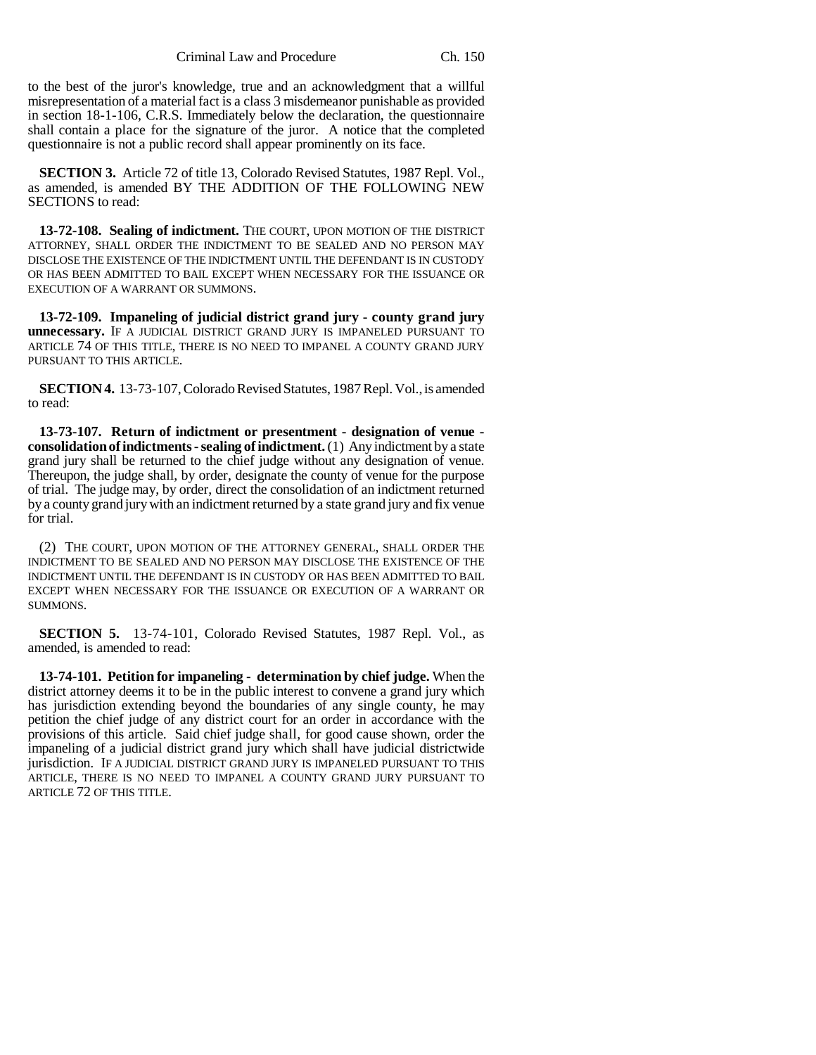to the best of the juror's knowledge, true and an acknowledgment that a willful misrepresentation of a material fact is a class 3 misdemeanor punishable as provided in section 18-1-106, C.R.S. Immediately below the declaration, the questionnaire shall contain a place for the signature of the juror. A notice that the completed questionnaire is not a public record shall appear prominently on its face.

**SECTION 3.** Article 72 of title 13, Colorado Revised Statutes, 1987 Repl. Vol., as amended, is amended BY THE ADDITION OF THE FOLLOWING NEW SECTIONS to read:

**13-72-108. Sealing of indictment.** THE COURT, UPON MOTION OF THE DISTRICT ATTORNEY, SHALL ORDER THE INDICTMENT TO BE SEALED AND NO PERSON MAY DISCLOSE THE EXISTENCE OF THE INDICTMENT UNTIL THE DEFENDANT IS IN CUSTODY OR HAS BEEN ADMITTED TO BAIL EXCEPT WHEN NECESSARY FOR THE ISSUANCE OR EXECUTION OF A WARRANT OR SUMMONS.

**13-72-109. Impaneling of judicial district grand jury - county grand jury unnecessary.** IF A JUDICIAL DISTRICT GRAND JURY IS IMPANELED PURSUANT TO ARTICLE 74 OF THIS TITLE, THERE IS NO NEED TO IMPANEL A COUNTY GRAND JURY PURSUANT TO THIS ARTICLE.

**SECTION 4.** 13-73-107, Colorado Revised Statutes, 1987 Repl. Vol., is amended to read:

**13-73-107. Return of indictment or presentment - designation of venue consolidation of indictments - sealing of indictment.** (1) Any indictment by a state grand jury shall be returned to the chief judge without any designation of venue. Thereupon, the judge shall, by order, designate the county of venue for the purpose of trial. The judge may, by order, direct the consolidation of an indictment returned by a county grand jury with an indictment returned by a state grand jury and fix venue for trial.

(2) THE COURT, UPON MOTION OF THE ATTORNEY GENERAL, SHALL ORDER THE INDICTMENT TO BE SEALED AND NO PERSON MAY DISCLOSE THE EXISTENCE OF THE INDICTMENT UNTIL THE DEFENDANT IS IN CUSTODY OR HAS BEEN ADMITTED TO BAIL EXCEPT WHEN NECESSARY FOR THE ISSUANCE OR EXECUTION OF A WARRANT OR SUMMONS.

**SECTION 5.** 13-74-101, Colorado Revised Statutes, 1987 Repl. Vol., as amended, is amended to read:

**13-74-101. Petition for impaneling - determination by chief judge.** When the district attorney deems it to be in the public interest to convene a grand jury which has jurisdiction extending beyond the boundaries of any single county, he may petition the chief judge of any district court for an order in accordance with the provisions of this article. Said chief judge shall, for good cause shown, order the impaneling of a judicial district grand jury which shall have judicial districtwide jurisdiction. IF A JUDICIAL DISTRICT GRAND JURY IS IMPANELED PURSUANT TO THIS ARTICLE, THERE IS NO NEED TO IMPANEL A COUNTY GRAND JURY PURSUANT TO ARTICLE 72 OF THIS TITLE.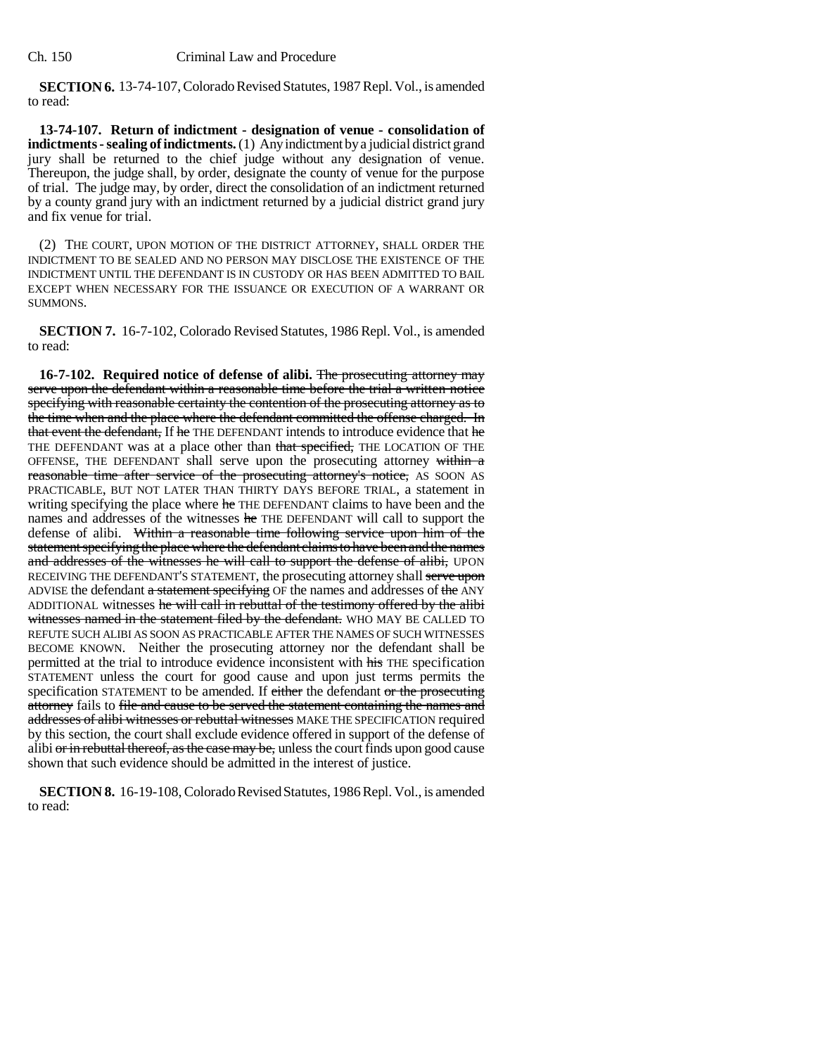**SECTION 6.** 13-74-107, Colorado Revised Statutes, 1987 Repl. Vol., is amended to read:

**13-74-107. Return of indictment - designation of venue - consolidation of indictments - sealing of indictments.** (1) Any indictment by a judicial district grand jury shall be returned to the chief judge without any designation of venue. Thereupon, the judge shall, by order, designate the county of venue for the purpose of trial. The judge may, by order, direct the consolidation of an indictment returned by a county grand jury with an indictment returned by a judicial district grand jury and fix venue for trial.

(2) THE COURT, UPON MOTION OF THE DISTRICT ATTORNEY, SHALL ORDER THE INDICTMENT TO BE SEALED AND NO PERSON MAY DISCLOSE THE EXISTENCE OF THE INDICTMENT UNTIL THE DEFENDANT IS IN CUSTODY OR HAS BEEN ADMITTED TO BAIL EXCEPT WHEN NECESSARY FOR THE ISSUANCE OR EXECUTION OF A WARRANT OR SUMMONS.

**SECTION 7.** 16-7-102, Colorado Revised Statutes, 1986 Repl. Vol., is amended to read:

**16-7-102. Required notice of defense of alibi.** The prosecuting attorney may serve upon the defendant within a reasonable time before the trial a written notice specifying with reasonable certainty the contention of the prosecuting attorney as to the time when and the place where the defendant committed the offense charged. In that event the defendant, If he THE DEFENDANT intends to introduce evidence that he THE DEFENDANT was at a place other than that specified, THE LOCATION OF THE OFFENSE, THE DEFENDANT shall serve upon the prosecuting attorney within a reasonable time after service of the prosecuting attorney's notice, AS SOON AS PRACTICABLE, BUT NOT LATER THAN THIRTY DAYS BEFORE TRIAL, a statement in writing specifying the place where he THE DEFENDANT claims to have been and the names and addresses of the witnesses he THE DEFENDANT will call to support the defense of alibi. Within a reasonable time following service upon him of the statement specifying the place where the defendant claims to have been and the names and addresses of the witnesses he will call to support the defense of alibi, UPON RECEIVING THE DEFENDANT'S STATEMENT, the prosecuting attorney shall serve upon ADVISE the defendant a statement specifying OF the names and addresses of the ANY ADDITIONAL witnesses he will call in rebuttal of the testimony offered by the alibi witnesses named in the statement filed by the defendant. WHO MAY BE CALLED TO REFUTE SUCH ALIBI AS SOON AS PRACTICABLE AFTER THE NAMES OF SUCH WITNESSES BECOME KNOWN. Neither the prosecuting attorney nor the defendant shall be permitted at the trial to introduce evidence inconsistent with his THE specification STATEMENT unless the court for good cause and upon just terms permits the specification STATEMENT to be amended. If either the defendant or the prosecuting attorney fails to file and cause to be served the statement containing the names and addresses of alibi witnesses or rebuttal witnesses MAKE THE SPECIFICATION required by this section, the court shall exclude evidence offered in support of the defense of alibi or in rebuttal thereof, as the case may be, unless the court finds upon good cause shown that such evidence should be admitted in the interest of justice.

**SECTION 8.** 16-19-108, Colorado Revised Statutes, 1986 Repl. Vol., is amended to read: